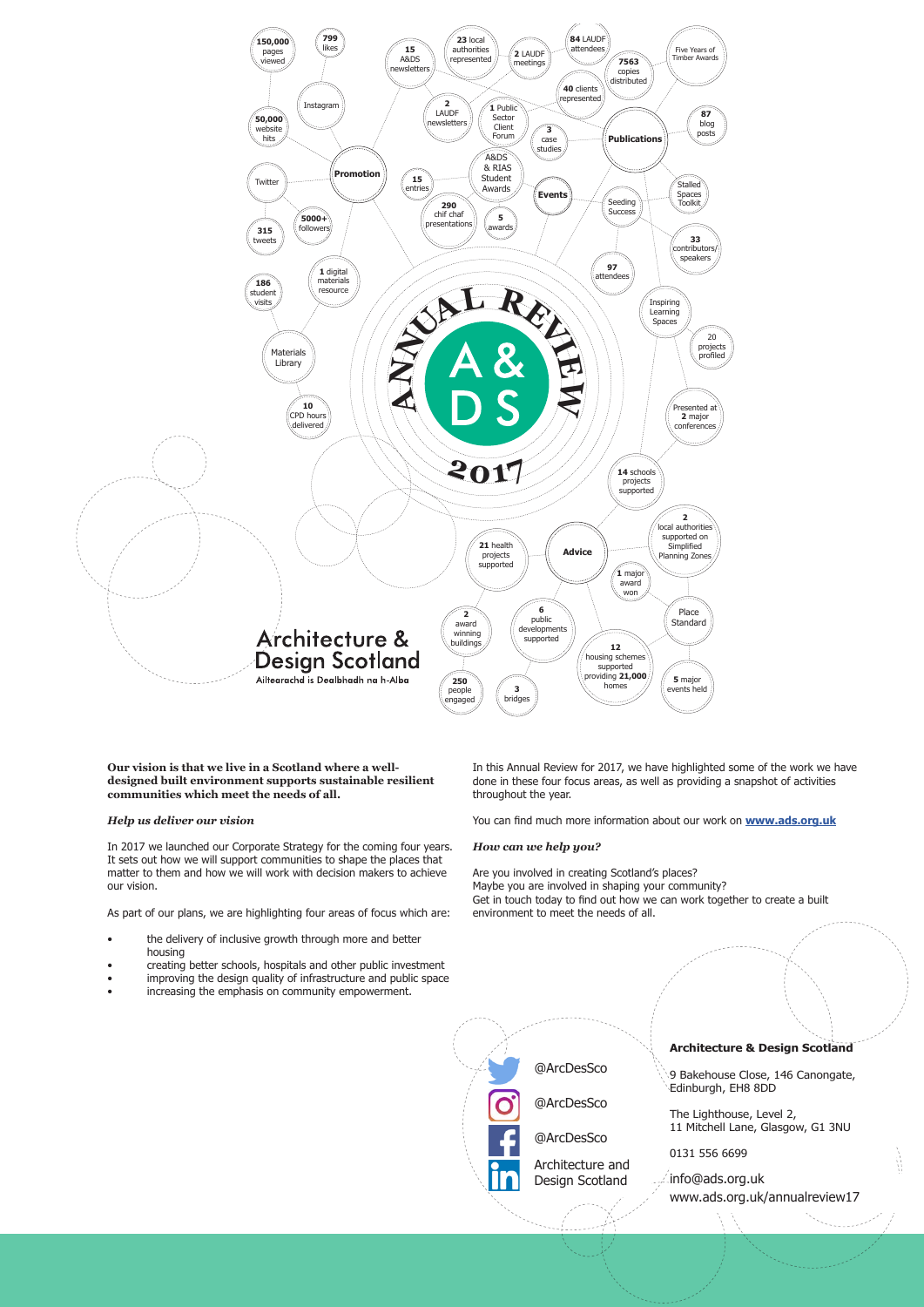

**Our vision is that we live in a Scotland where a welldesigned built environment supports sustainable resilient communities which meet the needs of all.** 

# *Help us deliver our vision*

In 2017 we launched our Corporate Strategy for the coming four years. It sets out how we will support communities to shape the places that matter to them and how we will work with decision makers to achieve our vision.

As part of our plans, we are highlighting four areas of focus which are:

- the delivery of inclusive growth through more and better housing
- creating better schools, hospitals and other public investment
- improving the design quality of infrastructure and public space

• increasing the emphasis on community empowerment.



In this Annual Review for 2017, we have highlighted some of the work we have done in these four focus areas, as well as providing a snapshot of activities throughout the year.

You can find much more information about our work on **www.ads.org.uk**

## *How can we help you?*

Are you involved in creating Scotland's places?

Maybe you are involved in shaping your community? Get in touch today to find out how we can work together to create a built environment to meet the needs of all.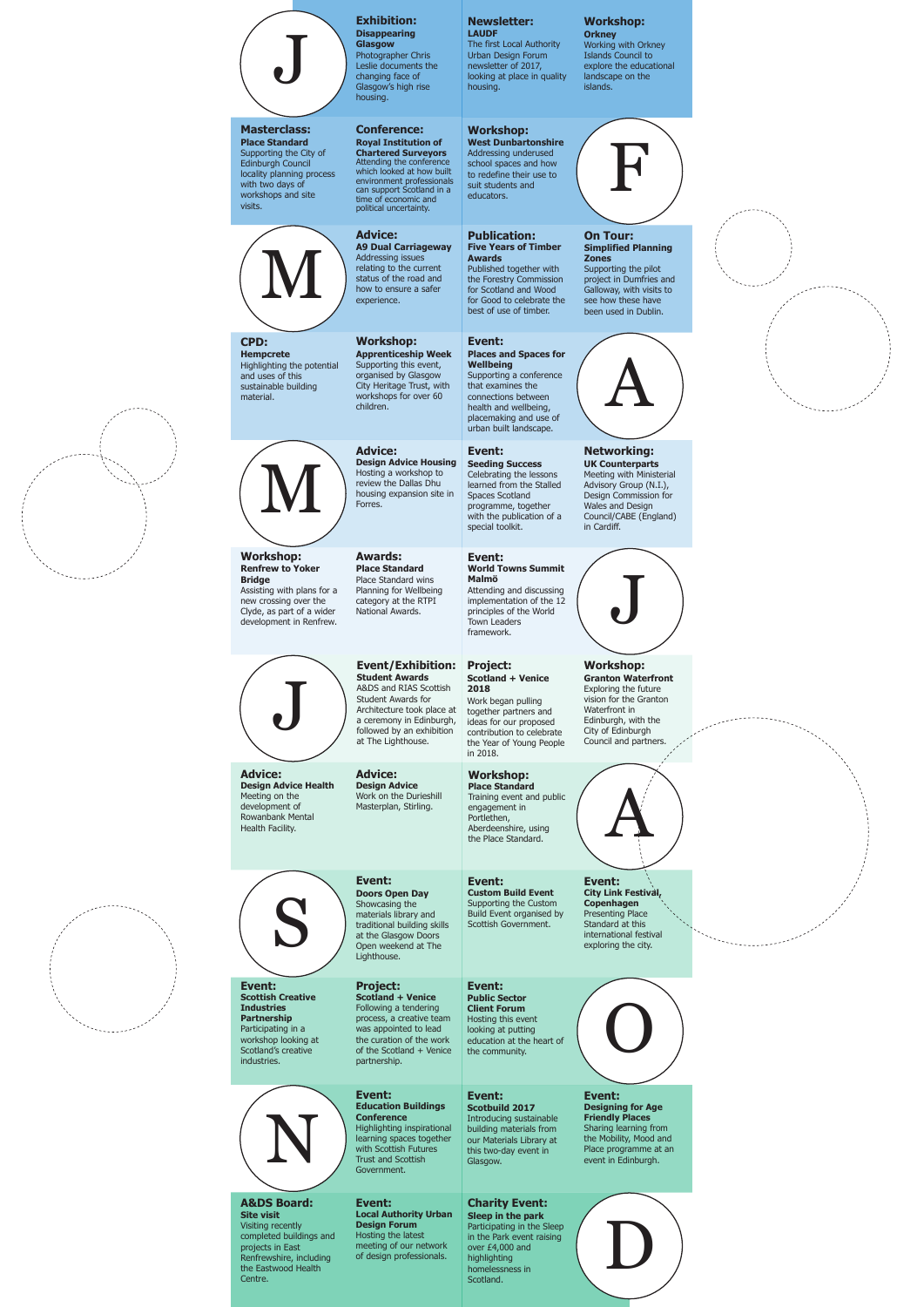

**Scotbuild 2017 Scotbuild**  Introducing sustainable Introducing sustainable building materials from building materials from<br>our Materials Library at this two-day event in Glasgow. **Event:**<br> **Event:**<br> **Event:**<br> **Introducing sustainable**<br> **Example 1**<br> **Example 1**<br> **Example 1**<br> **Example 1**<br> **Example 1**<br> **Example 1**<br> **Example 1**<br> **Example 1**<br> **Example 1**<br> **Example 1**<br> **Example 1**<br> **Example 1**<br> **Example** 

### **Charity Event: Charity Event: Sleep in the park Sleep in the park** Participating in the Sleep Participating in the Sleep in the Park event raising over £4,000 and over £4,000 and highlighting highlighting<br>homelessness in Scotland. **uthority Urban**<br> **Forum**<br> **Forum**<br> **Forum**<br> **Forum**<br> **Forum**<br> **Forum**<br> **Forum**<br> **Forum**<br> **Forum**<br> **Forum**<br> **Example 2**<br> **Example 14,0**<br> **Example 14,0**<br> **Example 14,0**<br> **Example 14,0**<br> **Example 14,0**<br> **Example 14,0**<br> **Exam**



industries.

**Project: Scotland + Venice Scotland + Venice**Following a tendering a tendering process, a creative team a creative team was appointed to lead was appointed to lead the curation of the work of the Scotland + Venice of the Scotland + Venice partnership.





**Site visit** Visiting recently Visiting recently<br>completed buildings and projects in East projects in East Renfrewshire, including Renfrewshire, including<br>the Eastwood Health Centre.

# **Event:**



### **Event: Scottish Creative Scottish Creative Industries Partnership** Participating in a workshop looking at workshop looking at Scotland's creative

**Event: Event: Public Sector Public Sector Client Forum Client Forum**Hosting this event Hosting this event looking at putting looking at putting education at the heart of education at the heart of the community. the community.

# **Event: Event:**

#### **Event: Designing for Age Friendly Places** Sharing learning from Sharing learning from the Mobility, Mood and Place programme at an event in Edinburgh. **Designing for Age Friendly Places** the Mobility, Mood and<br>Place programme at an event in Edinburgh.

# **A&DS Board:**<br>Site visit

**Local Authority Urban Local Authority Urban Design Forum** Hosting the latest Hosting the latest<br>meeting of our network of design professionals. of design professionals.